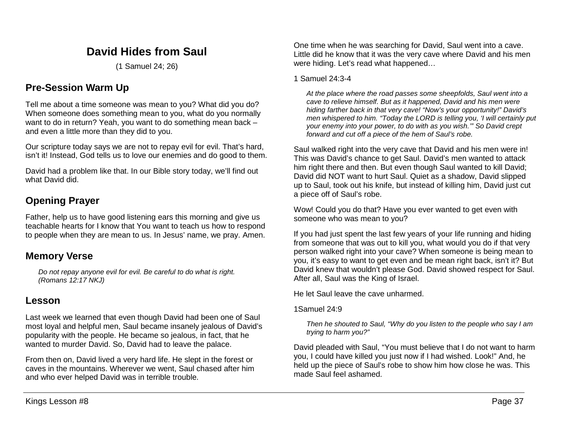# **David Hides from Saul**

(1 Samuel 24; 26)

# **Pre-Session Warm Up**

Tell me about a time someone was mean to you? What did you do? When someone does something mean to you, what do you normally want to do in return? Yeah, you want to do something mean back – and even a little more than they did to you.

Our scripture today says we are not to repay evil for evil. That's hard, isn't it! Instead, God tells us to love our enemies and do good to them.

David had a problem like that. In our Bible story today, we'll find out what David did.

# **Opening Prayer**

Father, help us to have good listening ears this morning and give us teachable hearts for I know that You want to teach us how to respond to people when they are mean to us. In Jesus' name, we pray. Amen.

## **Memory Verse**

*Do not repay anyone evil for evil. Be careful to do what is right. (Romans 12:17 NKJ)*

## **Lesson**

Last week we learned that even though David had been one of Saul most loyal and helpful men, Saul became insanely jealous of David's popularity with the people. He became so jealous, in fact, that he wanted to murder David. So, David had to leave the palace.

From then on, David lived a very hard life. He slept in the forest or caves in the mountains. Wherever we went, Saul chased after him and who ever helped David was in terrible trouble.

One time when he was searching for David, Saul went into a cave. Little did he know that it was the very cave where David and his men were hiding. Let's read what happened…

#### 1 Samuel 24:3-4

*At the place where the road passes some sheepfolds, Saul went into a cave to relieve himself. But as it happened, David and his men were hiding farther back in that very cave! "Now's your opportunity!" David's men whispered to him. "Today the LORD is telling you, 'I will certainly put your enemy into your power, to do with as you wish.'" So David crept forward and cut off a piece of the hem of Saul's robe.* 

Saul walked right into the very cave that David and his men were in! This was David's chance to get Saul. David's men wanted to attack him right there and then. But even though Saul wanted to kill David; David did NOT want to hurt Saul. Quiet as a shadow, David slipped up to Saul, took out his knife, but instead of killing him, David just cut a piece off of Saul's robe.

Wow! Could you do that? Have you ever wanted to get even with someone who was mean to you?

If you had just spent the last few years of your life running and hiding from someone that was out to kill you, what would you do if that very person walked right into your cave? When someone is being mean to you, it's easy to want to get even and be mean right back, isn't it? But David knew that wouldn't please God. David showed respect for Saul. After all, Saul was the King of Israel.

He let Saul leave the cave unharmed.

1Samuel 24:9

*Then he shouted to Saul, "Why do you listen to the people who say I am trying to harm you?"*

David pleaded with Saul, "You must believe that I do not want to harm you, I could have killed you just now if I had wished. Look!" And, he held up the piece of Saul's robe to show him how close he was. This made Saul feel ashamed.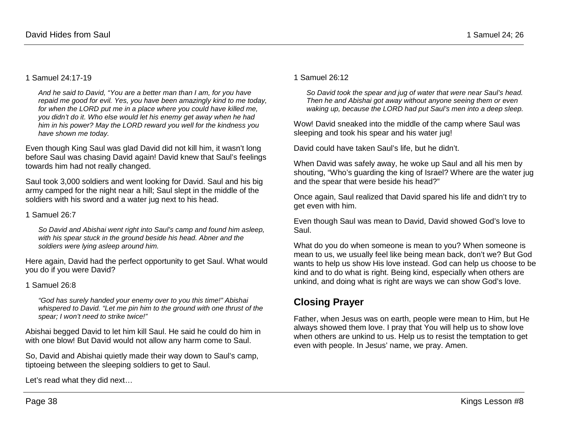#### 1 Samuel 24:17-19

*And he said to David, "You are a better man than I am, for you have repaid me good for evil. Yes, you have been amazingly kind to me today, for when the LORD put me in a place where you could have killed me, you didn't do it. Who else would let his enemy get away when he had him in his power? May the LORD reward you well for the kindness you have shown me today.* 

Even though King Saul was glad David did not kill him, it wasn't long before Saul was chasing David again! David knew that Saul's feelings towards him had not really changed.

Saul took 3,000 soldiers and went looking for David. Saul and his big army camped for the night near a hill; Saul slept in the middle of the soldiers with his sword and a water jug next to his head.

1 Samuel 26:7

*So David and Abishai went right into Saul's camp and found him asleep, with his spear stuck in the ground beside his head. Abner and the soldiers were lying asleep around him.*

Here again, David had the perfect opportunity to get Saul. What would you do if you were David?

#### 1 Samuel 26:8

*"God has surely handed your enemy over to you this time!" Abishai whispered to David. "Let me pin him to the ground with one thrust of the spear; I won't need to strike twice!"*

Abishai begged David to let him kill Saul. He said he could do him in with one blow! But David would not allow any harm come to Saul.

So, David and Abishai quietly made their way down to Saul's camp, tiptoeing between the sleeping soldiers to get to Saul.

Let's read what they did next…

#### 1 Samuel 26:12

*So David took the spear and jug of water that were near Saul's head. Then he and Abishai got away without anyone seeing them or even waking up, because the LORD had put Saul's men into a deep sleep.*

Wow! David sneaked into the middle of the camp where Saul was sleeping and took his spear and his water jug!

David could have taken Saul's life, but he didn't.

When David was safely away, he woke up Saul and all his men by shouting, "Who's guarding the king of Israel? Where are the water jug and the spear that were beside his head?"

Once again, Saul realized that David spared his life and didn't try to get even with him.

Even though Saul was mean to David, David showed God's love to Saul.

What do you do when someone is mean to you? When someone is mean to us, we usually feel like being mean back, don't we? But God wants to help us show His love instead. God can help us choose to be kind and to do what is right. Being kind, especially when others are unkind, and doing what is right are ways we can show God's love.

# **Closing Prayer**

Father, when Jesus was on earth, people were mean to Him, but He always showed them love. I pray that You will help us to show love when others are unkind to us. Help us to resist the temptation to get even with people. In Jesus' name, we pray. Amen.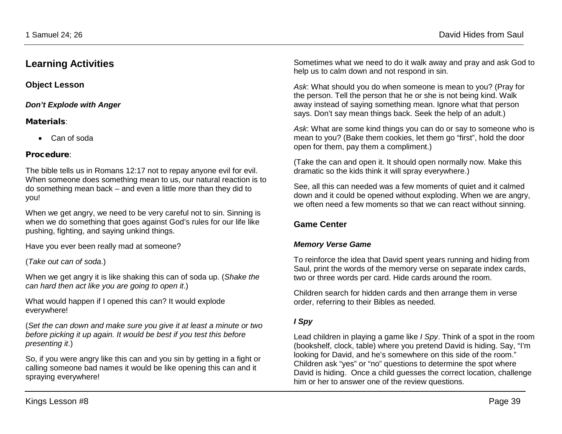## **Learning Activities**

**Object Lesson**

*Don't Explode with Anger*

### Materials:

• Can of soda

### Procedure:

The bible tells us in Romans 12:17 not to repay anyone evil for evil. When someone does something mean to us, our natural reaction is to do something mean back – and even a little more than they did to you!

When we get angry, we need to be very careful not to sin. Sinning is when we do something that goes against God's rules for our life like pushing, fighting, and saying unkind things.

Have you ever been really mad at someone?

(*Take out can of soda*.)

When we get angry it is like shaking this can of soda up. (*Shake the can hard then act like you are going to open it*.)

What would happen if I opened this can? It would explode everywhere!

(*Set the can down and make sure you give it at least a minute or two before picking it up again. It would be best if you test this before presenting it*.)

So, if you were angry like this can and you sin by getting in a fight or calling someone bad names it would be like opening this can and it spraying everywhere!

Sometimes what we need to do it walk away and pray and ask God to help us to calm down and not respond in sin.

*Ask*: What should you do when someone is mean to you? (Pray for the person. Tell the person that he or she is not being kind. Walk away instead of saying something mean. Ignore what that person says. Don't say mean things back. Seek the help of an adult.)

*Ask*: What are some kind things you can do or say to someone who is mean to you? (Bake them cookies, let them go "first", hold the door open for them, pay them a compliment.)

(Take the can and open it. It should open normally now. Make this dramatic so the kids think it will spray everywhere.)

See, all this can needed was a few moments of quiet and it calmed down and it could be opened without exploding. When we are angry, we often need a few moments so that we can react without sinning.

## **Game Center**

### *Memory Verse Game*

To reinforce the idea that David spent years running and hiding from Saul, print the words of the memory verse on separate index cards, two or three words per card. Hide cards around the room.

Children search for hidden cards and then arrange them in verse order, referring to their Bibles as needed.

### *I Spy*

Lead children in playing a game like *I Spy*. Think of a spot in the room (bookshelf, clock, table) where you pretend David is hiding. Say, "I'm looking for David, and he's somewhere on this side of the room." Children ask "yes" or "no" questions to determine the spot where David is hiding. Once a child guesses the correct location, challenge him or her to answer one of the review questions.